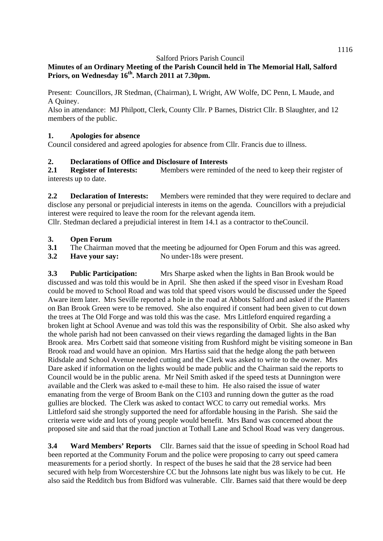# **Minutes of an Ordinary Meeting of the Parish Council held in The Memorial Hall, Salford Priors, on Wednesday 16th. March 2011 at 7.30pm.**

Present: Councillors, JR Stedman, (Chairman), L Wright, AW Wolfe, DC Penn, L Maude, and A Quiney.

Also in attendance: MJ Philpott, Clerk, County Cllr. P Barnes, District Cllr. B Slaughter, and 12 members of the public.

## **1. Apologies for absence**

Council considered and agreed apologies for absence from Cllr. Francis due to illness.

## **2. Declarations of Office and Disclosure of Interests**

**2.1 Register of Interests:** Members were reminded of the need to keep their register of interests up to date.

**2.2 Declaration of Interests:** Members were reminded that they were required to declare and disclose any personal or prejudicial interests in items on the agenda. Councillors with a prejudicial interest were required to leave the room for the relevant agenda item.

Cllr. Stedman declared a prejudicial interest in Item 14.1 as a contractor to theCouncil.

### **3. Open Forum**

- **3.1** The Chairman moved that the meeting be adjourned for Open Forum and this was agreed.
- **3.2 Have your say:** No under-18s were present.

**3.3 Public Participation:** Mrs Sharpe asked when the lights in Ban Brook would be discussed and was told this would be in April. She then asked if the speed visor in Evesham Road could be moved to School Road and was told that speed visors would be discussed under the Speed Aware item later. Mrs Seville reported a hole in the road at Abbots Salford and asked if the Planters on Ban Brook Green were to be removed. She also enquired if consent had been given to cut down the trees at The Old Forge and was told this was the case. Mrs Littleford enquired regarding a broken light at School Avenue and was told this was the responsibility of Orbit. She also asked why the whole parish had not been canvassed on their views regarding the damaged lights in the Ban Brook area. Mrs Corbett said that someone visiting from Rushford might be visiting someone in Ban Brook road and would have an opinion. Mrs Hartiss said that the hedge along the path between Ridsdale and School Avenue needed cutting and the Clerk was asked to write to the owner. Mrs Dare asked if information on the lights would be made public and the Chairman said the reports to Council would be in the public arena. Mr Neil Smith asked if the speed tests at Dunnington were available and the Clerk was asked to e-mail these to him. He also raised the issue of water emanating from the verge of Broom Bank on the C103 and running down the gutter as the road gullies are blocked. The Clerk was asked to contact WCC to carry out remedial works. Mrs Littleford said she strongly supported the need for affordable housing in the Parish. She said the criteria were wide and lots of young people would benefit. Mrs Band was concerned about the proposed site and said that the road junction at Tothall Lane and School Road was very dangerous.

**3.4 Ward Members' Reports** Cllr. Barnes said that the issue of speeding in School Road had been reported at the Community Forum and the police were proposing to carry out speed camera measurements for a period shortly. In respect of the buses he said that the 28 service had been secured with help from Worcestershire CC but the Johnsons late night bus was likely to be cut. He also said the Redditch bus from Bidford was vulnerable. Cllr. Barnes said that there would be deep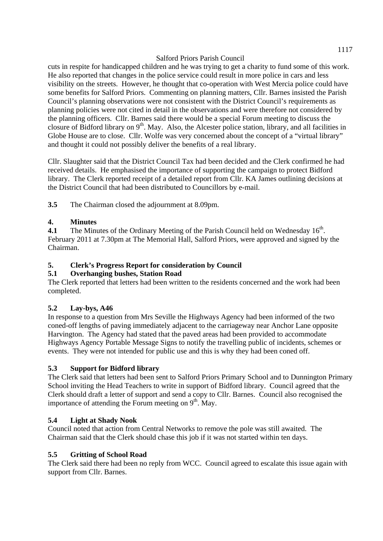cuts in respite for handicapped children and he was trying to get a charity to fund some of this work. He also reported that changes in the police service could result in more police in cars and less visibility on the streets. However, he thought that co-operation with West Mercia police could have some benefits for Salford Priors. Commenting on planning matters, Cllr. Barnes insisted the Parish Council's planning observations were not consistent with the District Council's requirements as planning policies were not cited in detail in the observations and were therefore not considered by the planning officers. Cllr. Barnes said there would be a special Forum meeting to discuss the closure of Bidford library on  $9<sup>th</sup>$ . May. Also, the Alcester police station, library, and all facilities in Globe House are to close. Cllr. Wolfe was very concerned about the concept of a "virtual library" and thought it could not possibly deliver the benefits of a real library.

Cllr. Slaughter said that the District Council Tax had been decided and the Clerk confirmed he had received details. He emphasised the importance of supporting the campaign to protect Bidford library. The Clerk reported receipt of a detailed report from Cllr. KA James outlining decisions at the District Council that had been distributed to Councillors by e-mail.

**3.5** The Chairman closed the adjournment at 8.09pm.

## **4. Minutes**

**4.1** The Minutes of the Ordinary Meeting of the Parish Council held on Wednesday 16<sup>th</sup>. February 2011 at 7.30pm at The Memorial Hall, Salford Priors, were approved and signed by the Chairman.

## **5. Clerk's Progress Report for consideration by Council**

### **5.1 Overhanging bushes, Station Road**

The Clerk reported that letters had been written to the residents concerned and the work had been completed.

### **5.2 Lay-bys, A46**

In response to a question from Mrs Seville the Highways Agency had been informed of the two coned-off lengths of paving immediately adjacent to the carriageway near Anchor Lane opposite Harvington. The Agency had stated that the paved areas had been provided to accommodate Highways Agency Portable Message Signs to notify the travelling public of incidents, schemes or events. They were not intended for public use and this is why they had been coned off.

### **5.3 Support for Bidford library**

The Clerk said that letters had been sent to Salford Priors Primary School and to Dunnington Primary School inviting the Head Teachers to write in support of Bidford library. Council agreed that the Clerk should draft a letter of support and send a copy to Cllr. Barnes. Council also recognised the importance of attending the Forum meeting on  $9<sup>th</sup>$ . May.

### **5.4 Light at Shady Nook**

Council noted that action from Central Networks to remove the pole was still awaited. The Chairman said that the Clerk should chase this job if it was not started within ten days.

### **5.5 Gritting of School Road**

The Clerk said there had been no reply from WCC. Council agreed to escalate this issue again with support from Cllr. Barnes.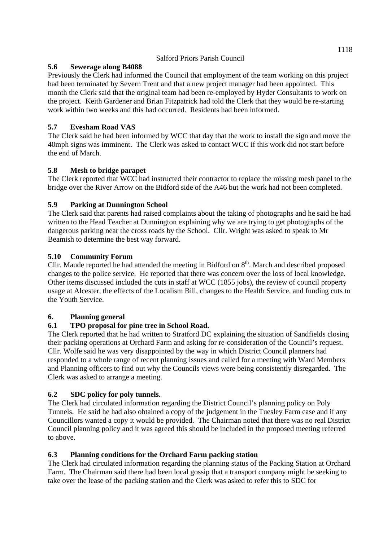## **5.6 Sewerage along B4088**

Previously the Clerk had informed the Council that employment of the team working on this project had been terminated by Severn Trent and that a new project manager had been appointed. This month the Clerk said that the original team had been re-employed by Hyder Consultants to work on the project. Keith Gardener and Brian Fitzpatrick had told the Clerk that they would be re-starting work within two weeks and this had occurred. Residents had been informed.

# **5.7 Evesham Road VAS**

The Clerk said he had been informed by WCC that day that the work to install the sign and move the 40mph signs was imminent. The Clerk was asked to contact WCC if this work did not start before the end of March.

# **5.8 Mesh to bridge parapet**

The Clerk reported that WCC had instructed their contractor to replace the missing mesh panel to the bridge over the River Arrow on the Bidford side of the A46 but the work had not been completed.

# **5.9 Parking at Dunnington School**

The Clerk said that parents had raised complaints about the taking of photographs and he said he had written to the Head Teacher at Dunnington explaining why we are trying to get photographs of the dangerous parking near the cross roads by the School. Cllr. Wright was asked to speak to Mr Beamish to determine the best way forward.

## **5.10 Community Forum**

Cllr. Maude reported he had attended the meeting in Bidford on  $8<sup>th</sup>$ . March and described proposed changes to the police service. He reported that there was concern over the loss of local knowledge. Other items discussed included the cuts in staff at WCC (1855 jobs), the review of council property usage at Alcester, the effects of the Localism Bill, changes to the Health Service, and funding cuts to the Youth Service.

# **6. Planning general**

# **6.1 TPO proposal for pine tree in School Road.**

The Clerk reported that he had written to Stratford DC explaining the situation of Sandfields closing their packing operations at Orchard Farm and asking for re-consideration of the Council's request. Cllr. Wolfe said he was very disappointed by the way in which District Council planners had responded to a whole range of recent planning issues and called for a meeting with Ward Members and Planning officers to find out why the Councils views were being consistently disregarded. The Clerk was asked to arrange a meeting.

# **6.2 SDC policy for poly tunnels.**

The Clerk had circulated information regarding the District Council's planning policy on Poly Tunnels. He said he had also obtained a copy of the judgement in the Tuesley Farm case and if any Councillors wanted a copy it would be provided. The Chairman noted that there was no real District Council planning policy and it was agreed this should be included in the proposed meeting referred to above.

# **6.3 Planning conditions for the Orchard Farm packing station**

The Clerk had circulated information regarding the planning status of the Packing Station at Orchard Farm. The Chairman said there had been local gossip that a transport company might be seeking to take over the lease of the packing station and the Clerk was asked to refer this to SDC for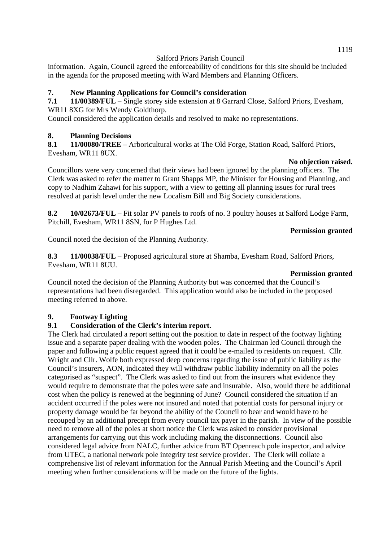information. Again, Council agreed the enforceability of conditions for this site should be included in the agenda for the proposed meeting with Ward Members and Planning Officers.

## **7. New Planning Applications for Council's consideration**

**7.1 11/00389/FUL** – Single storey side extension at 8 Garrard Close, Salford Priors, Evesham, WR11 8XG for Mrs Wendy Goldthorp.

Council considered the application details and resolved to make no representations.

### **8. Planning Decisions**

**8.1 11/00080/TREE** – Arboricultural works at The Old Forge, Station Road, Salford Priors, Evesham, WR11 8UX.

#### **No objection raised.**

Councillors were very concerned that their views had been ignored by the planning officers. The Clerk was asked to refer the matter to Grant Shapps MP, the Minister for Housing and Planning, and copy to Nadhim Zahawi for his support, with a view to getting all planning issues for rural trees resolved at parish level under the new Localism Bill and Big Society considerations.

**8.2 10/02673/FUL** – Fit solar PV panels to roofs of no. 3 poultry houses at Salford Lodge Farm, Pitchill, Evesham, WR11 8SN, for P Hughes Ltd.

#### **Permission granted**

Council noted the decision of the Planning Authority.

**8.3 11/00038/FUL** – Proposed agricultural store at Shamba, Evesham Road, Salford Priors, Evesham, WR11 8UU.

#### **Permission granted**

Council noted the decision of the Planning Authority but was concerned that the Council's representations had been disregarded. This application would also be included in the proposed meeting referred to above.

### **9. Footway Lighting**

### **9.1 Consideration of the Clerk's interim report.**

The Clerk had circulated a report setting out the position to date in respect of the footway lighting issue and a separate paper dealing with the wooden poles. The Chairman led Council through the paper and following a public request agreed that it could be e-mailed to residents on request. Cllr. Wright and Cllr. Wolfe both expressed deep concerns regarding the issue of public liability as the Council's insurers, AON, indicated they will withdraw public liability indemnity on all the poles categorised as "suspect". The Clerk was asked to find out from the insurers what evidence they would require to demonstrate that the poles were safe and insurable. Also, would there be additional cost when the policy is renewed at the beginning of June? Council considered the situation if an accident occurred if the poles were not insured and noted that potential costs for personal injury or property damage would be far beyond the ability of the Council to bear and would have to be recouped by an additional precept from every council tax payer in the parish. In view of the possible need to remove all of the poles at short notice the Clerk was asked to consider provisional arrangements for carrying out this work including making the disconnections. Council also considered legal advice from NALC, further advice from BT Openreach pole inspector, and advice from UTEC, a national network pole integrity test service provider. The Clerk will collate a comprehensive list of relevant information for the Annual Parish Meeting and the Council's April meeting when further considerations will be made on the future of the lights.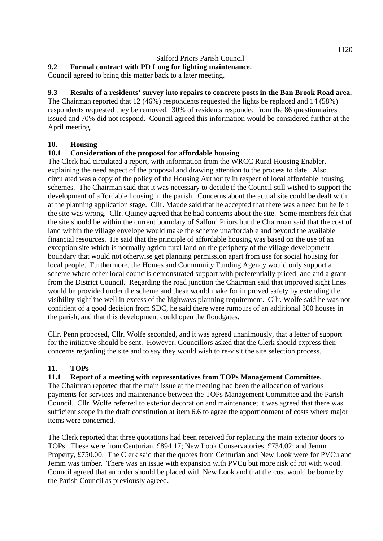### **9.2 Formal contract with PD Long for lighting maintenance.**

Council agreed to bring this matter back to a later meeting.

## **9.3 Results of a residents' survey into repairs to concrete posts in the Ban Brook Road area.**

The Chairman reported that 12 (46%) respondents requested the lights be replaced and 14 (58%) respondents requested they be removed. 30% of residents responded from the 86 questionnaires issued and 70% did not respond. Council agreed this information would be considered further at the April meeting.

#### **10. Housing**

### **10.1 Consideration of the proposal for affordable housing**

The Clerk had circulated a report, with information from the WRCC Rural Housing Enabler, explaining the need aspect of the proposal and drawing attention to the process to date. Also circulated was a copy of the policy of the Housing Authority in respect of local affordable housing schemes. The Chairman said that it was necessary to decide if the Council still wished to support the development of affordable housing in the parish. Concerns about the actual site could be dealt with at the planning application stage. Cllr. Maude said that he accepted that there was a need but he felt the site was wrong. Cllr. Quiney agreed that he had concerns about the site. Some members felt that the site should be within the current boundary of Salford Priors but the Chairman said that the cost of land within the village envelope would make the scheme unaffordable and beyond the available financial resources. He said that the principle of affordable housing was based on the use of an exception site which is normally agricultural land on the periphery of the village development boundary that would not otherwise get planning permission apart from use for social housing for local people. Furthermore, the Homes and Community Funding Agency would only support a scheme where other local councils demonstrated support with preferentially priced land and a grant from the District Council. Regarding the road junction the Chairman said that improved sight lines would be provided under the scheme and these would make for improved safety by extending the visibility sightline well in excess of the highways planning requirement. Cllr. Wolfe said he was not confident of a good decision from SDC, he said there were rumours of an additional 300 houses in the parish, and that this development could open the floodgates.

Cllr. Penn proposed, Cllr. Wolfe seconded, and it was agreed unanimously, that a letter of support for the initiative should be sent. However, Councillors asked that the Clerk should express their concerns regarding the site and to say they would wish to re-visit the site selection process.

### **11. TOPs**

### **11.1 Report of a meeting with representatives from TOPs Management Committee.**

The Chairman reported that the main issue at the meeting had been the allocation of various payments for services and maintenance between the TOPs Management Committee and the Parish Council. Cllr. Wolfe referred to exterior decoration and maintenance; it was agreed that there was sufficient scope in the draft constitution at item 6.6 to agree the apportionment of costs where major items were concerned.

The Clerk reported that three quotations had been received for replacing the main exterior doors to TOPs. These were from Centurian, £894.17; New Look Conservatories, £734.02; and Jemm Property, £750.00. The Clerk said that the quotes from Centurian and New Look were for PVCu and Jemm was timber. There was an issue with expansion with PVCu but more risk of rot with wood. Council agreed that an order should be placed with New Look and that the cost would be borne by the Parish Council as previously agreed.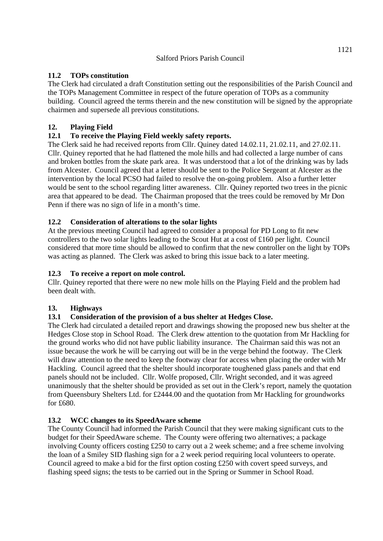### **11.2 TOPs constitution**

The Clerk had circulated a draft Constitution setting out the responsibilities of the Parish Council and the TOPs Management Committee in respect of the future operation of TOPs as a community building. Council agreed the terms therein and the new constitution will be signed by the appropriate chairmen and supersede all previous constitutions.

### **12. Playing Field**

## **12.1 To receive the Playing Field weekly safety reports.**

The Clerk said he had received reports from Cllr. Quiney dated 14.02.11, 21.02.11, and 27.02.11. Cllr. Quiney reported that he had flattened the mole hills and had collected a large number of cans and broken bottles from the skate park area. It was understood that a lot of the drinking was by lads from Alcester. Council agreed that a letter should be sent to the Police Sergeant at Alcester as the intervention by the local PCSO had failed to resolve the on-going problem. Also a further letter would be sent to the school regarding litter awareness. Cllr. Quiney reported two trees in the picnic area that appeared to be dead. The Chairman proposed that the trees could be removed by Mr Don Penn if there was no sign of life in a month's time.

## **12.2 Consideration of alterations to the solar lights**

At the previous meeting Council had agreed to consider a proposal for PD Long to fit new controllers to the two solar lights leading to the Scout Hut at a cost of £160 per light. Council considered that more time should be allowed to confirm that the new controller on the light by TOPs was acting as planned. The Clerk was asked to bring this issue back to a later meeting.

### **12.3 To receive a report on mole control.**

Cllr. Quiney reported that there were no new mole hills on the Playing Field and the problem had been dealt with.

### **13. Highways**

### **13.1 Consideration of the provision of a bus shelter at Hedges Close.**

The Clerk had circulated a detailed report and drawings showing the proposed new bus shelter at the Hedges Close stop in School Road. The Clerk drew attention to the quotation from Mr Hackling for the ground works who did not have public liability insurance. The Chairman said this was not an issue because the work he will be carrying out will be in the verge behind the footway. The Clerk will draw attention to the need to keep the footway clear for access when placing the order with Mr Hackling. Council agreed that the shelter should incorporate toughened glass panels and that end panels should not be included. Cllr. Wolfe proposed, Cllr. Wright seconded, and it was agreed unanimously that the shelter should be provided as set out in the Clerk's report, namely the quotation from Queensbury Shelters Ltd. for £2444.00 and the quotation from Mr Hackling for groundworks for £680.

### **13.2 WCC changes to its SpeedAware scheme**

The County Council had informed the Parish Council that they were making significant cuts to the budget for their SpeedAware scheme. The County were offering two alternatives; a package involving County officers costing £250 to carry out a 2 week scheme; and a free scheme involving the loan of a Smiley SID flashing sign for a 2 week period requiring local volunteers to operate. Council agreed to make a bid for the first option costing £250 with covert speed surveys, and flashing speed signs; the tests to be carried out in the Spring or Summer in School Road.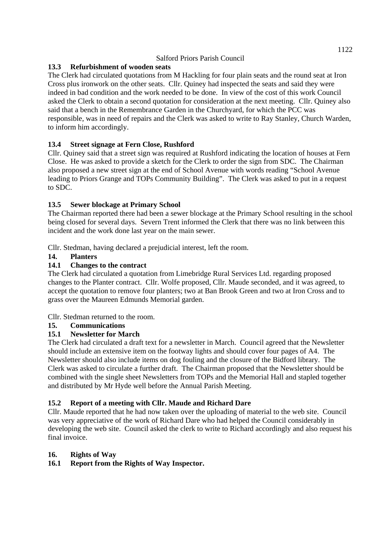# **13.3 Refurbishment of wooden seats**

The Clerk had circulated quotations from M Hackling for four plain seats and the round seat at Iron Cross plus ironwork on the other seats. Cllr. Quiney had inspected the seats and said they were indeed in bad condition and the work needed to be done. In view of the cost of this work Council asked the Clerk to obtain a second quotation for consideration at the next meeting. Cllr. Quiney also said that a bench in the Remembrance Garden in the Churchyard, for which the PCC was responsible, was in need of repairs and the Clerk was asked to write to Ray Stanley, Church Warden, to inform him accordingly.

# **13.4 Street signage at Fern Close, Rushford**

Cllr. Quiney said that a street sign was required at Rushford indicating the location of houses at Fern Close. He was asked to provide a sketch for the Clerk to order the sign from SDC. The Chairman also proposed a new street sign at the end of School Avenue with words reading "School Avenue leading to Priors Grange and TOPs Community Building". The Clerk was asked to put in a request to SDC.

## **13.5 Sewer blockage at Primary School**

The Chairman reported there had been a sewer blockage at the Primary School resulting in the school being closed for several days. Severn Trent informed the Clerk that there was no link between this incident and the work done last year on the main sewer.

Cllr. Stedman, having declared a prejudicial interest, left the room.

### **14. Planters**

## **14.1 Changes to the contract**

The Clerk had circulated a quotation from Limebridge Rural Services Ltd. regarding proposed changes to the Planter contract. Cllr. Wolfe proposed, Cllr. Maude seconded, and it was agreed, to accept the quotation to remove four planters; two at Ban Brook Green and two at Iron Cross and to grass over the Maureen Edmunds Memorial garden.

Cllr. Stedman returned to the room.

### **15. Communications**

### **15.1 Newsletter for March**

The Clerk had circulated a draft text for a newsletter in March. Council agreed that the Newsletter should include an extensive item on the footway lights and should cover four pages of A4. The Newsletter should also include items on dog fouling and the closure of the Bidford library. The Clerk was asked to circulate a further draft. The Chairman proposed that the Newsletter should be combined with the single sheet Newsletters from TOPs and the Memorial Hall and stapled together and distributed by Mr Hyde well before the Annual Parish Meeting.

### **15.2 Report of a meeting with Cllr. Maude and Richard Dare**

Cllr. Maude reported that he had now taken over the uploading of material to the web site. Council was very appreciative of the work of Richard Dare who had helped the Council considerably in developing the web site. Council asked the clerk to write to Richard accordingly and also request his final invoice.

### **16. Rights of Way**

### **16.1 Report from the Rights of Way Inspector.**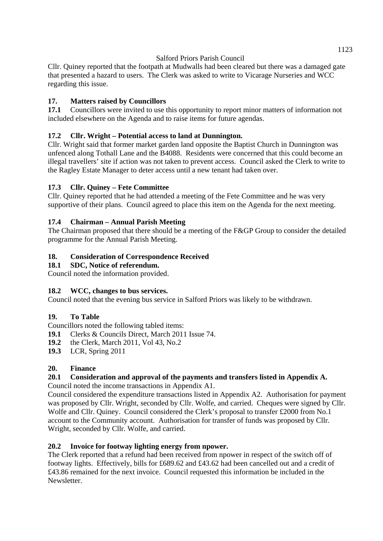Cllr. Quiney reported that the footpath at Mudwalls had been cleared but there was a damaged gate that presented a hazard to users. The Clerk was asked to write to Vicarage Nurseries and WCC regarding this issue.

# **17. Matters raised by Councillors**

**17.1** Councillors were invited to use this opportunity to report minor matters of information not included elsewhere on the Agenda and to raise items for future agendas.

# **17.2 Cllr. Wright – Potential access to land at Dunnington.**

Cllr. Wright said that former market garden land opposite the Baptist Church in Dunnington was unfenced along Tothall Lane and the B4088. Residents were concerned that this could become an illegal travellers' site if action was not taken to prevent access. Council asked the Clerk to write to the Ragley Estate Manager to deter access until a new tenant had taken over.

## **17.3 Cllr. Quiney – Fete Committee**

Cllr. Quiney reported that he had attended a meeting of the Fete Committee and he was very supportive of their plans. Council agreed to place this item on the Agenda for the next meeting.

## **17.4 Chairman – Annual Parish Meeting**

The Chairman proposed that there should be a meeting of the F&GP Group to consider the detailed programme for the Annual Parish Meeting.

### **18. Consideration of Correspondence Received**

### **18.1 SDC, Notice of referendum.**

Council noted the information provided.

### **18.2 WCC, changes to bus services.**

Council noted that the evening bus service in Salford Priors was likely to be withdrawn.

### **19. To Table**

Councillors noted the following tabled items:

**19.1** Clerks & Councils Direct, March 2011 Issue 74.

- **19.2** the Clerk, March 2011, Vol 43, No.2
- **19.3** LCR, Spring 2011

### **20. Finance**

# **20.1 Consideration and approval of the payments and transfers listed in Appendix A.**

Council noted the income transactions in Appendix A1.

Council considered the expenditure transactions listed in Appendix A2. Authorisation for payment was proposed by Cllr. Wright, seconded by Cllr. Wolfe, and carried. Cheques were signed by Cllr. Wolfe and Cllr. Quiney. Council considered the Clerk's proposal to transfer £2000 from No.1 account to the Community account. Authorisation for transfer of funds was proposed by Cllr. Wright, seconded by Cllr. Wolfe, and carried.

### **20.2 Invoice for footway lighting energy from npower.**

The Clerk reported that a refund had been received from npower in respect of the switch off of footway lights. Effectively, bills for £689.62 and £43.62 had been cancelled out and a credit of £43.86 remained for the next invoice. Council requested this information be included in the Newsletter.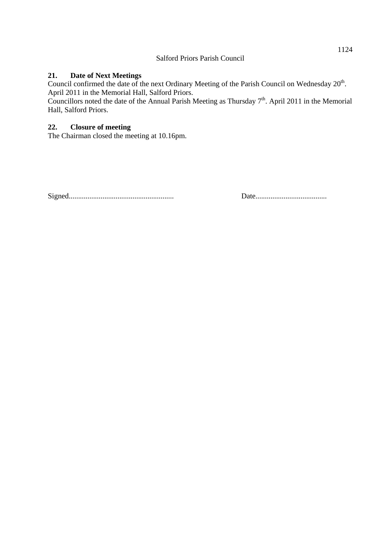### **21. Date of Next Meetings**

Council confirmed the date of the next Ordinary Meeting of the Parish Council on Wednesday 20<sup>th</sup>. April 2011 in the Memorial Hall, Salford Priors.

Councillors noted the date of the Annual Parish Meeting as Thursday  $7<sup>th</sup>$ . April 2011 in the Memorial Hall, Salford Priors.

#### **22. Closure of meeting**

The Chairman closed the meeting at 10.16pm.

Signed........................................................ Date......................................